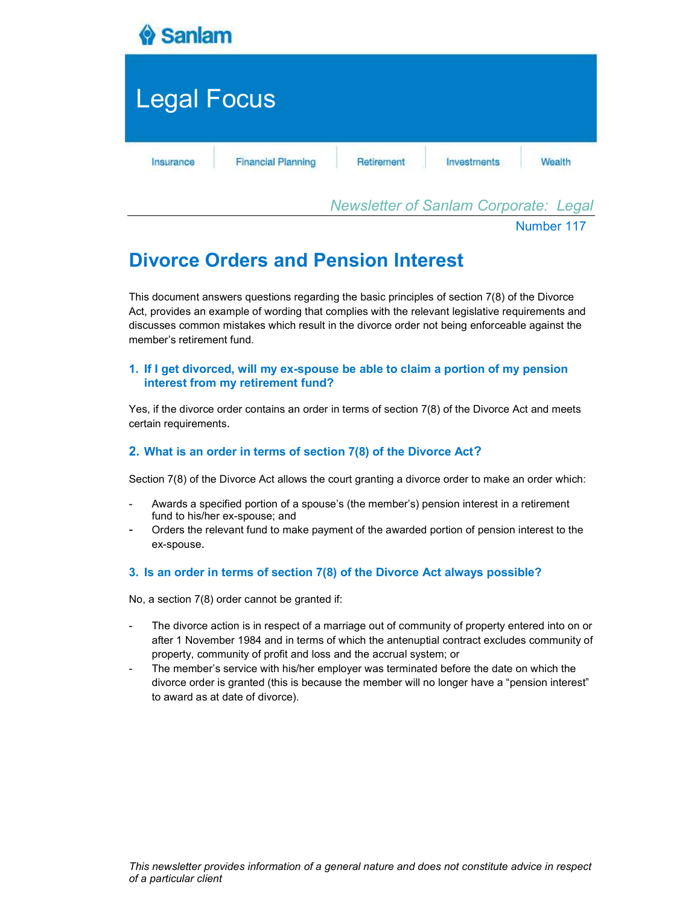

Newsletter of Sanlam Corporate: Legal

Number 117

# Divorce Orders and Pension Interest

This document answers questions regarding the basic principles of section 7(8) of the Divorce Act, provides an example of wording that complies with the relevant legislative requirements and discusses common mistakes which result in the divorce order not being enforceable against the member's retirement fund.

# 1. If I get divorced, will my ex-spouse be able to claim a portion of my pension interest from my retirement fund?

Yes, if the divorce order contains an order in terms of section 7(8) of the Divorce Act and meets certain requirements.

# 2. What is an order in terms of section 7(8) of the Divorce Act?

Section 7(8) of the Divorce Act allows the court granting a divorce order to make an order which:

- Awards a specified portion of a spouse's (the member's) pension interest in a retirement fund to his/her ex-spouse; and
- Orders the relevant fund to make payment of the awarded portion of pension interest to the ex-spouse.

# 3. Is an order in terms of section 7(8) of the Divorce Act always possible?

No, a section 7(8) order cannot be granted if:

- The divorce action is in respect of a marriage out of community of property entered into on or after 1 November 1984 and in terms of which the antenuptial contract excludes community of property, community of profit and loss and the accrual system; or
- The member's service with his/her employer was terminated before the date on which the divorce order is granted (this is because the member will no longer have a "pension interest" to award as at date of divorce).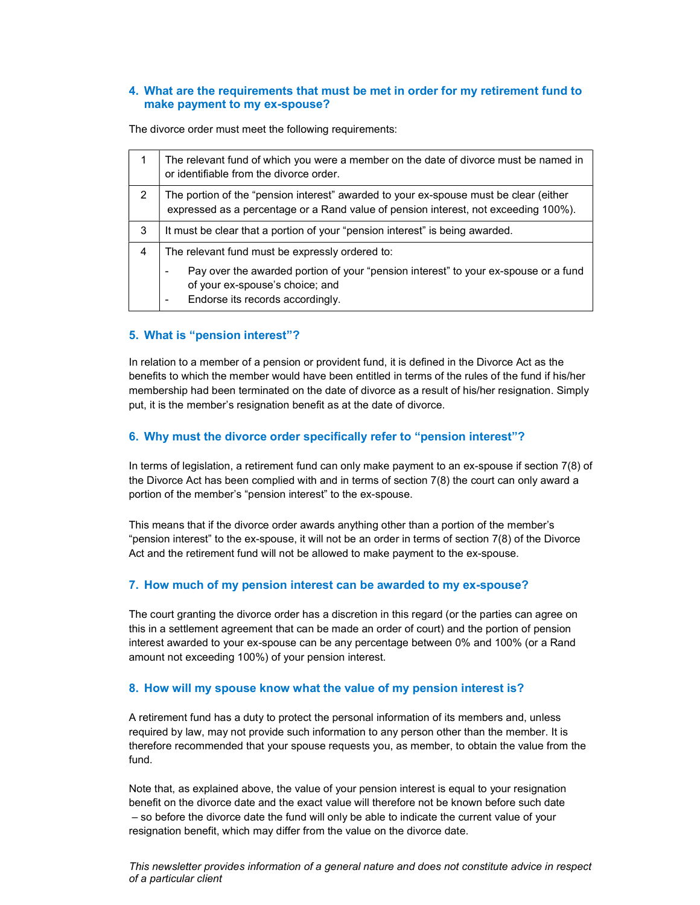## 4. What are the requirements that must be met in order for my retirement fund to make payment to my ex-spouse?

The divorce order must meet the following requirements:

|   | The relevant fund of which you were a member on the date of divorce must be named in<br>or identifiable from the divorce order.                                              |  |  |
|---|------------------------------------------------------------------------------------------------------------------------------------------------------------------------------|--|--|
| 2 | The portion of the "pension interest" awarded to your ex-spouse must be clear (either<br>expressed as a percentage or a Rand value of pension interest, not exceeding 100%). |  |  |
| 3 | It must be clear that a portion of your "pension interest" is being awarded.                                                                                                 |  |  |
| 4 | The relevant fund must be expressly ordered to:                                                                                                                              |  |  |
|   | Pay over the awarded portion of your "pension interest" to your ex-spouse or a fund<br>-<br>of your ex-spouse's choice; and<br>Endorse its records accordingly.              |  |  |

## 5. What is "pension interest"?

In relation to a member of a pension or provident fund, it is defined in the Divorce Act as the benefits to which the member would have been entitled in terms of the rules of the fund if his/her membership had been terminated on the date of divorce as a result of his/her resignation. Simply put, it is the member's resignation benefit as at the date of divorce.

## 6. Why must the divorce order specifically refer to "pension interest"?

In terms of legislation, a retirement fund can only make payment to an ex-spouse if section 7(8) of the Divorce Act has been complied with and in terms of section 7(8) the court can only award a portion of the member's "pension interest" to the ex-spouse.

This means that if the divorce order awards anything other than a portion of the member's "pension interest" to the ex-spouse, it will not be an order in terms of section 7(8) of the Divorce Act and the retirement fund will not be allowed to make payment to the ex-spouse.

#### 7. How much of my pension interest can be awarded to my ex-spouse?

The court granting the divorce order has a discretion in this regard (or the parties can agree on this in a settlement agreement that can be made an order of court) and the portion of pension interest awarded to your ex-spouse can be any percentage between 0% and 100% (or a Rand amount not exceeding 100%) of your pension interest.

#### 8. How will my spouse know what the value of my pension interest is?

A retirement fund has a duty to protect the personal information of its members and, unless required by law, may not provide such information to any person other than the member. It is therefore recommended that your spouse requests you, as member, to obtain the value from the fund.

Note that, as explained above, the value of your pension interest is equal to your resignation benefit on the divorce date and the exact value will therefore not be known before such date – so before the divorce date the fund will only be able to indicate the current value of your resignation benefit, which may differ from the value on the divorce date.

This newsletter provides information of a general nature and does not constitute advice in respect of a particular client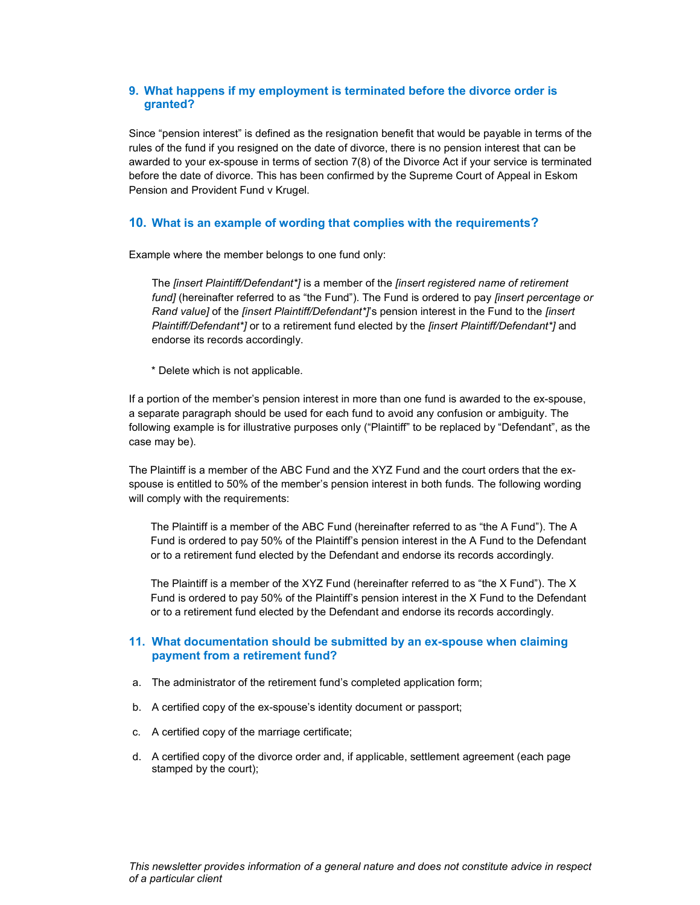## 9. What happens if my employment is terminated before the divorce order is granted?

Since "pension interest" is defined as the resignation benefit that would be payable in terms of the rules of the fund if you resigned on the date of divorce, there is no pension interest that can be awarded to your ex-spouse in terms of section 7(8) of the Divorce Act if your service is terminated before the date of divorce. This has been confirmed by the Supreme Court of Appeal in Eskom Pension and Provident Fund v Krugel.

## 10. What is an example of wording that complies with the requirements?

Example where the member belongs to one fund only:

The *[insert Plaintiff/Defendant\*]* is a member of the *[insert registered name of retirement* fund] (hereinafter referred to as "the Fund"). The Fund is ordered to pay *[insert percentage or* Rand value] of the *[insert Plaintiff/Defendant<sup>\*</sup>]*'s pension interest in the Fund to the *[insert* Plaintiff/Defendant\*] or to a retirement fund elected by the *[insert Plaintiff/Defendant\*]* and endorse its records accordingly.

\* Delete which is not applicable.

If a portion of the member's pension interest in more than one fund is awarded to the ex-spouse, a separate paragraph should be used for each fund to avoid any confusion or ambiguity. The following example is for illustrative purposes only ("Plaintiff" to be replaced by "Defendant", as the case may be).

The Plaintiff is a member of the ABC Fund and the XYZ Fund and the court orders that the exspouse is entitled to 50% of the member's pension interest in both funds. The following wording will comply with the requirements:

The Plaintiff is a member of the ABC Fund (hereinafter referred to as "the A Fund"). The A Fund is ordered to pay 50% of the Plaintiff's pension interest in the A Fund to the Defendant or to a retirement fund elected by the Defendant and endorse its records accordingly.

The Plaintiff is a member of the XYZ Fund (hereinafter referred to as "the X Fund"). The X Fund is ordered to pay 50% of the Plaintiff's pension interest in the X Fund to the Defendant or to a retirement fund elected by the Defendant and endorse its records accordingly.

## 11. What documentation should be submitted by an ex-spouse when claiming payment from a retirement fund?

- a. The administrator of the retirement fund's completed application form;
- b. A certified copy of the ex-spouse's identity document or passport;
- c. A certified copy of the marriage certificate;
- d. A certified copy of the divorce order and, if applicable, settlement agreement (each page stamped by the court);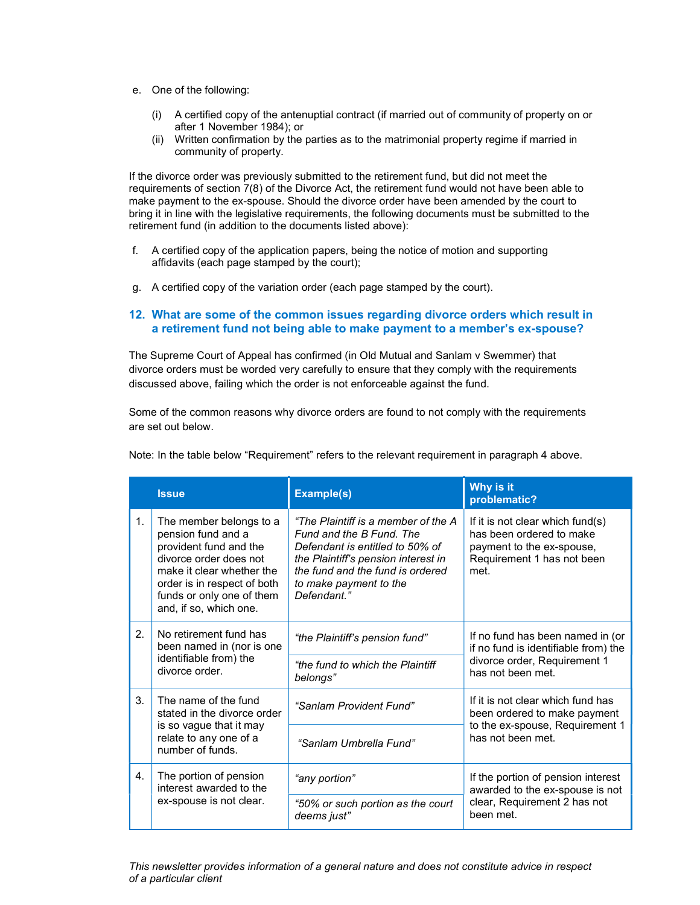- e. One of the following:
	- (i) A certified copy of the antenuptial contract (if married out of community of property on or after 1 November 1984); or
	- (ii) Written confirmation by the parties as to the matrimonial property regime if married in community of property.

If the divorce order was previously submitted to the retirement fund, but did not meet the requirements of section 7(8) of the Divorce Act, the retirement fund would not have been able to make payment to the ex-spouse. Should the divorce order have been amended by the court to bring it in line with the legislative requirements, the following documents must be submitted to the retirement fund (in addition to the documents listed above):

- f. A certified copy of the application papers, being the notice of motion and supporting affidavits (each page stamped by the court);
- g. A certified copy of the variation order (each page stamped by the court).

## 12. What are some of the common issues regarding divorce orders which result in a retirement fund not being able to make payment to a member's ex-spouse?

The Supreme Court of Appeal has confirmed (in Old Mutual and Sanlam v Swemmer) that divorce orders must be worded very carefully to ensure that they comply with the requirements discussed above, failing which the order is not enforceable against the fund.

Some of the common reasons why divorce orders are found to not comply with the requirements are set out below.

|                | <b>Issue</b>                                                                                                                                                                                                         | <b>Example(s)</b>                                                                                                                                                                                                      | Why is it<br>problematic?                                                                                                       |
|----------------|----------------------------------------------------------------------------------------------------------------------------------------------------------------------------------------------------------------------|------------------------------------------------------------------------------------------------------------------------------------------------------------------------------------------------------------------------|---------------------------------------------------------------------------------------------------------------------------------|
| 1 <sub>1</sub> | The member belongs to a<br>pension fund and a<br>provident fund and the<br>divorce order does not<br>make it clear whether the<br>order is in respect of both<br>funds or only one of them<br>and, if so, which one. | "The Plaintiff is a member of the A<br>Fund and the B Fund. The<br>Defendant is entitled to 50% of<br>the Plaintiff's pension interest in<br>the fund and the fund is ordered<br>to make payment to the<br>Defendant." | If it is not clear which fund(s)<br>has been ordered to make<br>payment to the ex-spouse,<br>Requirement 1 has not been<br>met. |
| 2.             | No retirement fund has<br>been named in (nor is one<br>identifiable from) the<br>divorce order.                                                                                                                      | "the Plaintiff's pension fund"                                                                                                                                                                                         | If no fund has been named in (or<br>if no fund is identifiable from) the<br>divorce order, Requirement 1<br>has not been met.   |
|                |                                                                                                                                                                                                                      | "the fund to which the Plaintiff<br>belongs"                                                                                                                                                                           |                                                                                                                                 |
| 3 <sub>1</sub> | The name of the fund<br>stated in the divorce order                                                                                                                                                                  | "Sanlam Provident Fund"                                                                                                                                                                                                | If it is not clear which fund has<br>been ordered to make payment                                                               |
|                | is so vague that it may<br>relate to any one of a<br>number of funds.                                                                                                                                                | "Sanlam Umbrella Fund"                                                                                                                                                                                                 | to the ex-spouse, Requirement 1<br>has not been met.                                                                            |
| 4.             | The portion of pension<br>interest awarded to the<br>ex-spouse is not clear.                                                                                                                                         | "any portion"                                                                                                                                                                                                          | If the portion of pension interest<br>awarded to the ex-spouse is not<br>clear, Requirement 2 has not<br>been met.              |
|                |                                                                                                                                                                                                                      | "50% or such portion as the court<br>deems just"                                                                                                                                                                       |                                                                                                                                 |

Note: In the table below "Requirement" refers to the relevant requirement in paragraph 4 above.